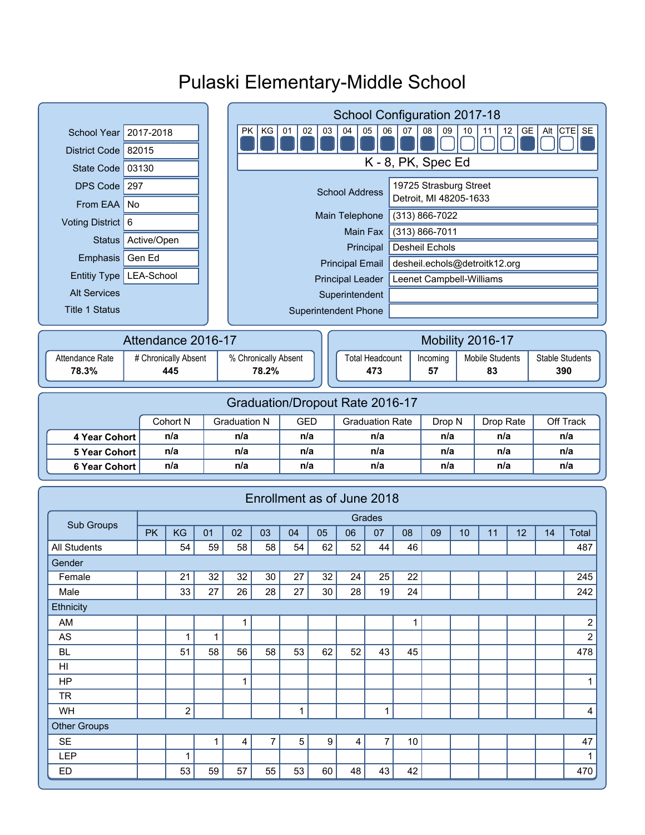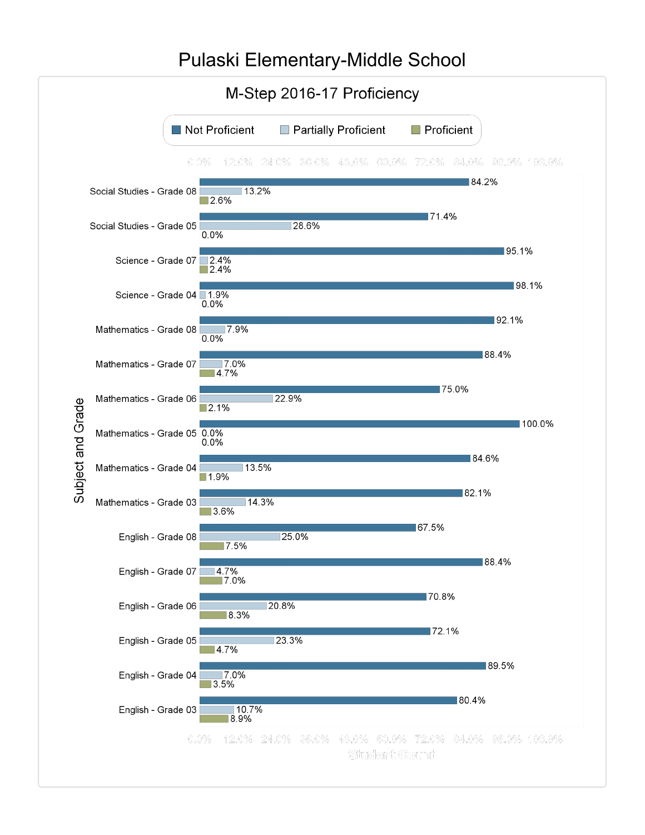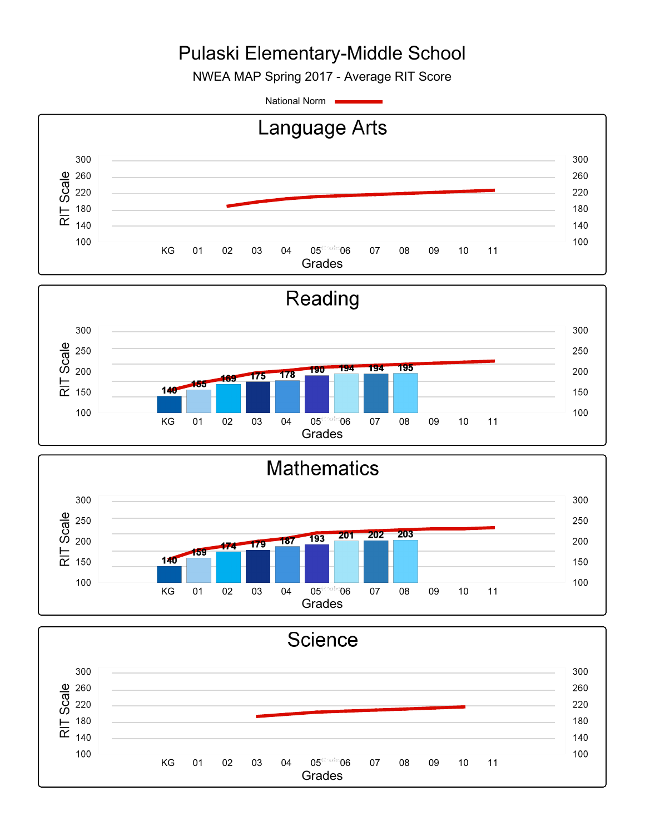NWEA MAP Spring 2017 - Average RIT Score

National Norm